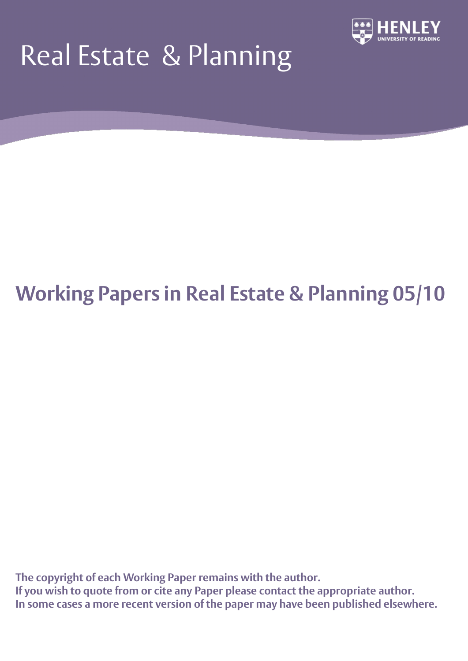# Real Estate & Planning



## **Working Papers in Real Estate & Planning 05/10**

**The copyright of each Working Paper remains with the author. If you wish to quote from or cite any Paper please contact the appropriate author. In some cases a more recent version of the paper may have been published elsewhere.**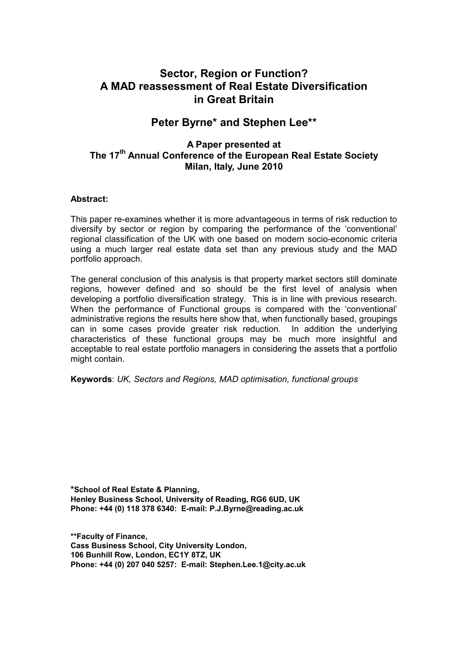## **Sector, Region or Function? A MAD reassessment of Real Estate Diversification in Great Britain**

## **Peter Byrne\* and Stephen Lee\*\***

## **A Paper presented at The 17th Annual Conference of the European Real Estate Society Milan, Italy, June 2010**

#### **Abstract:**

This paper re-examines whether it is more advantageous in terms of risk reduction to diversify by sector or region by comparing the performance of the "conventional" regional classification of the UK with one based on modern socio-economic criteria using a much larger real estate data set than any previous study and the MAD portfolio approach.

The general conclusion of this analysis is that property market sectors still dominate regions, however defined and so should be the first level of analysis when developing a portfolio diversification strategy. This is in line with previous research. When the performance of Functional groups is compared with the "conventional" administrative regions the results here show that, when functionally based, groupings can in some cases provide greater risk reduction. In addition the underlying characteristics of these functional groups may be much more insightful and acceptable to real estate portfolio managers in considering the assets that a portfolio might contain.

#### **Keywords**: *UK, Sectors and Regions, MAD optimisation, functional groups*

**\*School of Real Estate & Planning, Henley Business School, University of Reading, RG6 6UD, UK Phone: +44 (0) 118 378 6340: E-mail: P.J.Byrne@reading.ac.uk**

**\*\*Faculty of Finance, Cass Business School, City University London, 106 Bunhill Row, London, EC1Y 8TZ, UK Phone: +44 (0) 207 040 5257: E-mail: Stephen.Lee.1@city.ac.uk**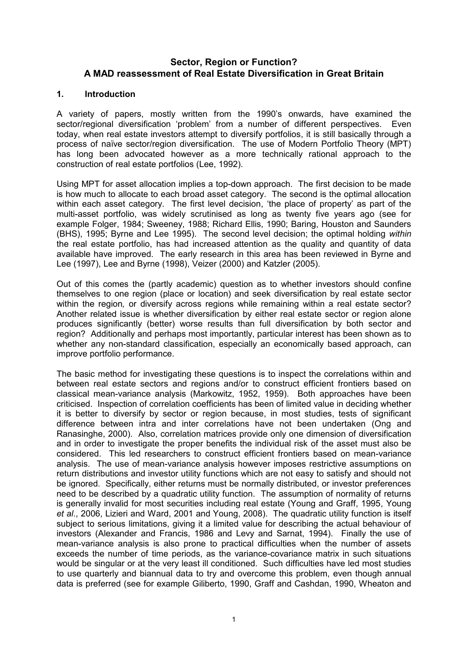### **Sector, Region or Function? A MAD reassessment of Real Estate Diversification in Great Britain**

#### **1. Introduction**

A variety of papers, mostly written from the 1990"s onwards, have examined the sector/regional diversification 'problem' from a number of different perspectives. Even today, when real estate investors attempt to diversify portfolios, it is still basically through a process of naïve sector/region diversification. The use of Modern Portfolio Theory (MPT) has long been advocated however as a more technically rational approach to the construction of real estate portfolios (Lee, 1992).

Using MPT for asset allocation implies a top-down approach. The first decision to be made is how much to allocate to each broad asset category. The second is the optimal allocation within each asset category. The first level decision, "the place of property" as part of the multi-asset portfolio, was widely scrutinised as long as twenty five years ago (see for example Folger, 1984; Sweeney, 1988; Richard Ellis, 1990; Baring, Houston and Saunders (BHS), 1995; Byrne and Lee 1995). The second level decision; the optimal holding *within* the real estate portfolio, has had increased attention as the quality and quantity of data available have improved. The early research in this area has been reviewed in Byrne and Lee (1997), Lee and Byrne (1998), Veizer (2000) and Katzler (2005).

Out of this comes the (partly academic) question as to whether investors should confine themselves to one region (place or location) and seek diversification by real estate sector within the region*,* or diversify across regions while remaining within a real estate sector? Another related issue is whether diversification by either real estate sector or region alone produces significantly (better) worse results than full diversification by both sector and region? Additionally and perhaps most importantly, particular interest has been shown as to whether any non-standard classification, especially an economically based approach, can improve portfolio performance.

The basic method for investigating these questions is to inspect the correlations within and between real estate sectors and regions and/or to construct efficient frontiers based on classical mean-variance analysis (Markowitz, 1952, 1959). Both approaches have been criticised. Inspection of correlation coefficients has been of limited value in deciding whether it is better to diversify by sector or region because, in most studies, tests of significant difference between intra and inter correlations have not been undertaken (Ong and Ranasinghe, 2000). Also, correlation matrices provide only one dimension of diversification and in order to investigate the proper benefits the individual risk of the asset must also be considered. This led researchers to construct efficient frontiers based on mean-variance analysis. The use of mean-variance analysis however imposes restrictive assumptions on return distributions and investor utility functions which are not easy to satisfy and should not be ignored. Specifically, either returns must be normally distributed, or investor preferences need to be described by a quadratic utility function. The assumption of normality of returns is generally invalid for most securities including real estate (Young and Graff, 1995, Young *et al*., 2006, Lizieri and Ward, 2001 and Young, 2008). The quadratic utility function is itself subject to serious limitations, giving it a limited value for describing the actual behaviour of investors (Alexander and Francis, 1986 and Levy and Sarnat, 1994). Finally the use of mean-variance analysis is also prone to practical difficulties when the number of assets exceeds the number of time periods, as the variance-covariance matrix in such situations would be singular or at the very least ill conditioned. Such difficulties have led most studies to use quarterly and biannual data to try and overcome this problem, even though annual data is preferred (see for example Giliberto, 1990, Graff and Cashdan, 1990, Wheaton and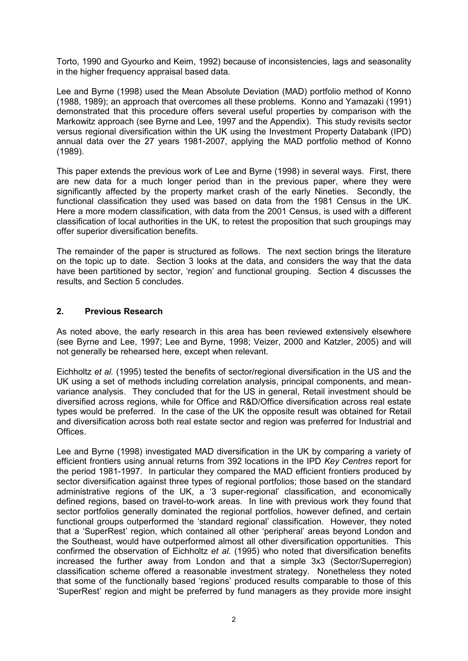Torto, 1990 and Gyourko and Keim, 1992) because of inconsistencies, lags and seasonality in the higher frequency appraisal based data.

Lee and Byrne (1998) used the Mean Absolute Deviation (MAD) portfolio method of Konno (1988, 1989); an approach that overcomes all these problems. Konno and Yamazaki (1991) demonstrated that this procedure offers several useful properties by comparison with the Markowitz approach (see Byrne and Lee, 1997 and the Appendix). This study revisits sector versus regional diversification within the UK using the Investment Property Databank (IPD) annual data over the 27 years 1981-2007, applying the MAD portfolio method of Konno (1989).

This paper extends the previous work of Lee and Byrne (1998) in several ways. First, there are new data for a much longer period than in the previous paper, where they were significantly affected by the property market crash of the early Nineties. Secondly, the functional classification they used was based on data from the 1981 Census in the UK. Here a more modern classification, with data from the 2001 Census, is used with a different classification of local authorities in the UK, to retest the proposition that such groupings may offer superior diversification benefits.

The remainder of the paper is structured as follows. The next section brings the literature on the topic up to date. Section 3 looks at the data, and considers the way that the data have been partitioned by sector, "region" and functional grouping. Section 4 discusses the results, and Section 5 concludes.

#### **2. Previous Research**

As noted above, the early research in this area has been reviewed extensively elsewhere (see Byrne and Lee, 1997; Lee and Byrne, 1998; Veizer, 2000 and Katzler, 2005) and will not generally be rehearsed here, except when relevant.

Eichholtz *et al.* (1995) tested the benefits of sector/regional diversification in the US and the UK using a set of methods including correlation analysis, principal components, and meanvariance analysis. They concluded that for the US in general, Retail investment should be diversified across regions, while for Office and R&D/Office diversification across real estate types would be preferred. In the case of the UK the opposite result was obtained for Retail and diversification across both real estate sector and region was preferred for Industrial and Offices.

Lee and Byrne (1998) investigated MAD diversification in the UK by comparing a variety of efficient frontiers using annual returns from 392 locations in the IPD *Key Centres* report for the period 1981-1997. In particular they compared the MAD efficient frontiers produced by sector diversification against three types of regional portfolios; those based on the standard administrative regions of the UK, a "3 super-regional" classification, and economically defined regions, based on travel-to-work areas. In line with previous work they found that sector portfolios generally dominated the regional portfolios, however defined, and certain functional groups outperformed the "standard regional" classification. However, they noted that a "SuperRest" region, which contained all other "peripheral" areas beyond London and the Southeast, would have outperformed almost all other diversification opportunities. This confirmed the observation of Eichholtz *et al*. (1995) who noted that diversification benefits increased the further away from London and that a simple 3x3 (Sector/Superregion) classification scheme offered a reasonable investment strategy. Nonetheless they noted that some of the functionally based "regions" produced results comparable to those of this "SuperRest" region and might be preferred by fund managers as they provide more insight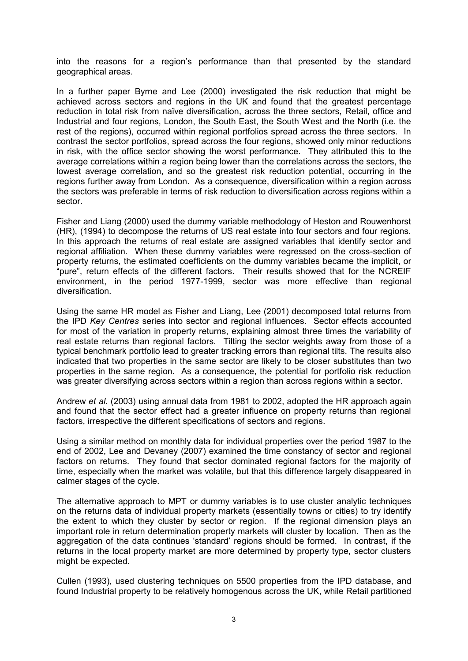into the reasons for a region"s performance than that presented by the standard geographical areas.

In a further paper Byrne and Lee (2000) investigated the risk reduction that might be achieved across sectors and regions in the UK and found that the greatest percentage reduction in total risk from naïve diversification, across the three sectors, Retail, office and Industrial and four regions, London, the South East, the South West and the North (i.e. the rest of the regions), occurred within regional portfolios spread across the three sectors. In contrast the sector portfolios, spread across the four regions, showed only minor reductions in risk, with the office sector showing the worst performance. They attributed this to the average correlations within a region being lower than the correlations across the sectors, the lowest average correlation, and so the greatest risk reduction potential, occurring in the regions further away from London. As a consequence, diversification within a region across the sectors was preferable in terms of risk reduction to diversification across regions within a sector.

Fisher and Liang (2000) used the dummy variable methodology of Heston and Rouwenhorst (HR), (1994) to decompose the returns of US real estate into four sectors and four regions. In this approach the returns of real estate are assigned variables that identify sector and regional affiliation. When these dummy variables were regressed on the cross-section of property returns, the estimated coefficients on the dummy variables became the implicit, or "pure", return effects of the different factors. Their results showed that for the NCREIF environment, in the period 1977-1999, sector was more effective than regional diversification.

Using the same HR model as Fisher and Liang, Lee (2001) decomposed total returns from the IPD *Key Centres* series into sector and regional influences. Sector effects accounted for most of the variation in property returns, explaining almost three times the variability of real estate returns than regional factors. Tilting the sector weights away from those of a typical benchmark portfolio lead to greater tracking errors than regional tilts. The results also indicated that two properties in the same sector are likely to be closer substitutes than two properties in the same region. As a consequence, the potential for portfolio risk reduction was greater diversifying across sectors within a region than across regions within a sector.

Andrew *et al*. (2003) using annual data from 1981 to 2002, adopted the HR approach again and found that the sector effect had a greater influence on property returns than regional factors, irrespective the different specifications of sectors and regions.

Using a similar method on monthly data for individual properties over the period 1987 to the end of 2002, Lee and Devaney (2007) examined the time constancy of sector and regional factors on returns. They found that sector dominated regional factors for the majority of time, especially when the market was volatile, but that this difference largely disappeared in calmer stages of the cycle.

The alternative approach to MPT or dummy variables is to use cluster analytic techniques on the returns data of individual property markets (essentially towns or cities) to try identify the extent to which they cluster by sector or region. If the regional dimension plays an important role in return determination property markets will cluster by location. Then as the aggregation of the data continues "standard" regions should be formed. In contrast, if the returns in the local property market are more determined by property type, sector clusters might be expected.

Cullen (1993), used clustering techniques on 5500 properties from the IPD database, and found Industrial property to be relatively homogenous across the UK, while Retail partitioned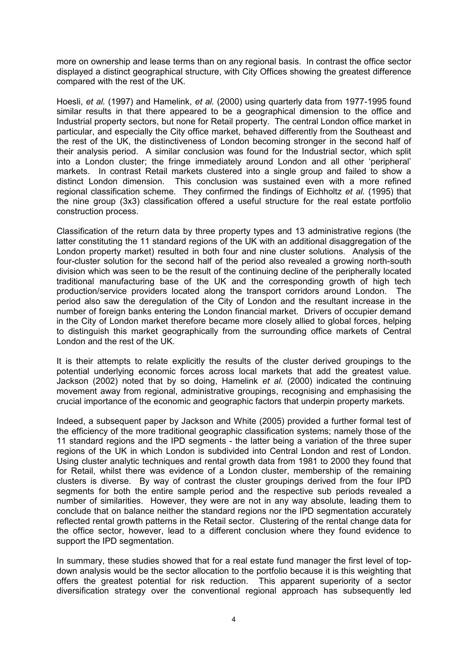more on ownership and lease terms than on any regional basis. In contrast the office sector displayed a distinct geographical structure, with City Offices showing the greatest difference compared with the rest of the UK.

Hoesli, *et al.* (1997) and Hamelink, *et al.* (2000) using quarterly data from 1977-1995 found similar results in that there appeared to be a geographical dimension to the office and Industrial property sectors, but none for Retail property. The central London office market in particular, and especially the City office market, behaved differently from the Southeast and the rest of the UK, the distinctiveness of London becoming stronger in the second half of their analysis period. A similar conclusion was found for the Industrial sector, which split into a London cluster; the fringe immediately around London and all other "peripheral" markets. In contrast Retail markets clustered into a single group and failed to show a distinct London dimension. This conclusion was sustained even with a more refined regional classification scheme. They confirmed the findings of Eichholtz *et al.* (1995) that the nine group (3x3) classification offered a useful structure for the real estate portfolio construction process.

Classification of the return data by three property types and 13 administrative regions (the latter constituting the 11 standard regions of the UK with an additional disaggregation of the London property market) resulted in both four and nine cluster solutions. Analysis of the four-cluster solution for the second half of the period also revealed a growing north-south division which was seen to be the result of the continuing decline of the peripherally located traditional manufacturing base of the UK and the corresponding growth of high tech production/service providers located along the transport corridors around London. The period also saw the deregulation of the City of London and the resultant increase in the number of foreign banks entering the London financial market. Drivers of occupier demand in the City of London market therefore became more closely allied to global forces, helping to distinguish this market geographically from the surrounding office markets of Central London and the rest of the UK.

It is their attempts to relate explicitly the results of the cluster derived groupings to the potential underlying economic forces across local markets that add the greatest value. Jackson (2002) noted that by so doing, Hamelink *et al.* (2000) indicated the continuing movement away from regional, administrative groupings, recognising and emphasising the crucial importance of the economic and geographic factors that underpin property markets*.*

Indeed, a subsequent paper by Jackson and White (2005) provided a further formal test of the efficiency of the more traditional geographic classification systems; namely those of the 11 standard regions and the IPD segments - the latter being a variation of the three super regions of the UK in which London is subdivided into Central London and rest of London. Using cluster analytic techniques and rental growth data from 1981 to 2000 they found that for Retail, whilst there was evidence of a London cluster, membership of the remaining clusters is diverse. By way of contrast the cluster groupings derived from the four IPD segments for both the entire sample period and the respective sub periods revealed a number of similarities. However, they were are not in any way absolute, leading them to conclude that on balance neither the standard regions nor the IPD segmentation accurately reflected rental growth patterns in the Retail sector. Clustering of the rental change data for the office sector, however, lead to a different conclusion where they found evidence to support the IPD segmentation.

In summary, these studies showed that for a real estate fund manager the first level of topdown analysis would be the sector allocation to the portfolio because it is this weighting that offers the greatest potential for risk reduction. This apparent superiority of a sector diversification strategy over the conventional regional approach has subsequently led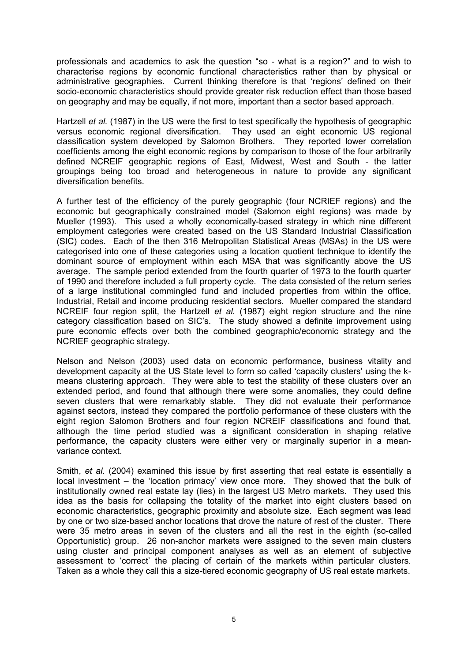professionals and academics to ask the question "so - what is a region?" and to wish to characterise regions by economic functional characteristics rather than by physical or administrative geographies. Current thinking therefore is that "regions" defined on their socio-economic characteristics should provide greater risk reduction effect than those based on geography and may be equally, if not more, important than a sector based approach.

Hartzell *et al.* (1987) in the US were the first to test specifically the hypothesis of geographic versus economic regional diversification. They used an eight economic US regional classification system developed by Salomon Brothers. They reported lower correlation coefficients among the eight economic regions by comparison to those of the four arbitrarily defined NCREIF geographic regions of East, Midwest, West and South - the latter groupings being too broad and heterogeneous in nature to provide any significant diversification benefits.

A further test of the efficiency of the purely geographic (four NCRIEF regions) and the economic but geographically constrained model (Salomon eight regions) was made by Mueller (1993). This used a wholly economically-based strategy in which nine different employment categories were created based on the US Standard Industrial Classification (SIC) codes. Each of the then 316 Metropolitan Statistical Areas (MSAs) in the US were categorised into one of these categories using a location quotient technique to identify the dominant source of employment within each MSA that was significantly above the US average. The sample period extended from the fourth quarter of 1973 to the fourth quarter of 1990 and therefore included a full property cycle. The data consisted of the return series of a large institutional commingled fund and included properties from within the office, Industrial, Retail and income producing residential sectors. Mueller compared the standard NCREIF four region split, the Hartzell *et al.* (1987) eight region structure and the nine category classification based on SIC"s. The study showed a definite improvement using pure economic effects over both the combined geographic/economic strategy and the NCRIEF geographic strategy.

Nelson and Nelson (2003) used data on economic performance, business vitality and development capacity at the US State level to form so called "capacity clusters" using the kmeans clustering approach. They were able to test the stability of these clusters over an extended period, and found that although there were some anomalies, they could define seven clusters that were remarkably stable. They did not evaluate their performance against sectors, instead they compared the portfolio performance of these clusters with the eight region Salomon Brothers and four region NCREIF classifications and found that, although the time period studied was a significant consideration in shaping relative performance, the capacity clusters were either very or marginally superior in a meanvariance context.

Smith, *et al*. (2004) examined this issue by first asserting that real estate is essentially a local investment – the 'location primacy' view once more. They showed that the bulk of institutionally owned real estate lay (lies) in the largest US Metro markets. They used this idea as the basis for collapsing the totality of the market into eight clusters based on economic characteristics, geographic proximity and absolute size. Each segment was lead by one or two size-based anchor locations that drove the nature of rest of the cluster. There were 35 metro areas in seven of the clusters and all the rest in the eighth (so-called Opportunistic) group. 26 non-anchor markets were assigned to the seven main clusters using cluster and principal component analyses as well as an element of subjective assessment to "correct" the placing of certain of the markets within particular clusters. Taken as a whole they call this a size-tiered economic geography of US real estate markets.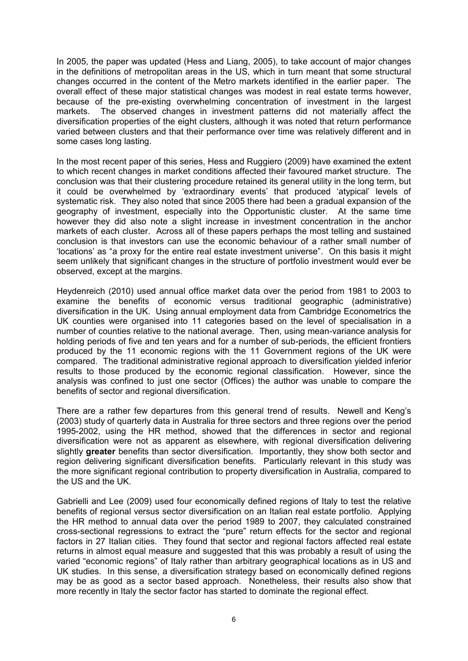In 2005, the paper was updated (Hess and Liang, 2005), to take account of major changes in the definitions of metropolitan areas in the US, which in turn meant that some structural changes occurred in the content of the Metro markets identified in the earlier paper. The overall effect of these major statistical changes was modest in real estate terms however, because of the pre-existing overwhelming concentration of investment in the largest markets. The observed changes in investment patterns did not materially affect the diversification properties of the eight clusters, although it was noted that return performance varied between clusters and that their performance over time was relatively different and in some cases long lasting.

In the most recent paper of this series, Hess and Ruggiero (2009) have examined the extent to which recent changes in market conditions affected their favoured market structure. The conclusion was that their clustering procedure retained its general utility in the long term, but it could be overwhelmed by "extraordinary events" that produced "atypical" levels of systematic risk. They also noted that since 2005 there had been a gradual expansion of the geography of investment, especially into the Opportunistic cluster. At the same time however they did also note a slight increase in investment concentration in the anchor markets of each cluster. Across all of these papers perhaps the most telling and sustained conclusion is that investors can use the economic behaviour of a rather small number of "locations" as "a proxy for the entire real estate investment universe". On this basis it might seem unlikely that significant changes in the structure of portfolio investment would ever be observed, except at the margins.

Heydenreich (2010) used annual office market data over the period from 1981 to 2003 to examine the benefits of economic versus traditional geographic (administrative) diversification in the UK. Using annual employment data from Cambridge Econometrics the UK counties were organised into 11 categories based on the level of specialisation in a number of counties relative to the national average. Then, using mean-variance analysis for holding periods of five and ten years and for a number of sub-periods, the efficient frontiers produced by the 11 economic regions with the 11 Government regions of the UK were compared. The traditional administrative regional approach to diversification yielded inferior results to those produced by the economic regional classification. However, since the analysis was confined to just one sector (Offices) the author was unable to compare the benefits of sector and regional diversification.

There are a rather few departures from this general trend of results. Newell and Keng"s (2003) study of quarterly data in Australia for three sectors and three regions over the period 1995-2002, using the HR method, showed that the differences in sector and regional diversification were not as apparent as elsewhere, with regional diversification delivering slightly **greater** benefits than sector diversification. Importantly, they show both sector and region delivering significant diversification benefits. Particularly relevant in this study was the more significant regional contribution to property diversification in Australia, compared to the US and the UK.

Gabrielli and Lee (2009) used four economically defined regions of Italy to test the relative benefits of regional versus sector diversification on an Italian real estate portfolio. Applying the HR method to annual data over the period 1989 to 2007, they calculated constrained cross-sectional regressions to extract the "pure" return effects for the sector and regional factors in 27 Italian cities. They found that sector and regional factors affected real estate returns in almost equal measure and suggested that this was probably a result of using the varied "economic regions" of Italy rather than arbitrary geographical locations as in US and UK studies. In this sense, a diversification strategy based on economically defined regions may be as good as a sector based approach. Nonetheless, their results also show that more recently in Italy the sector factor has started to dominate the regional effect.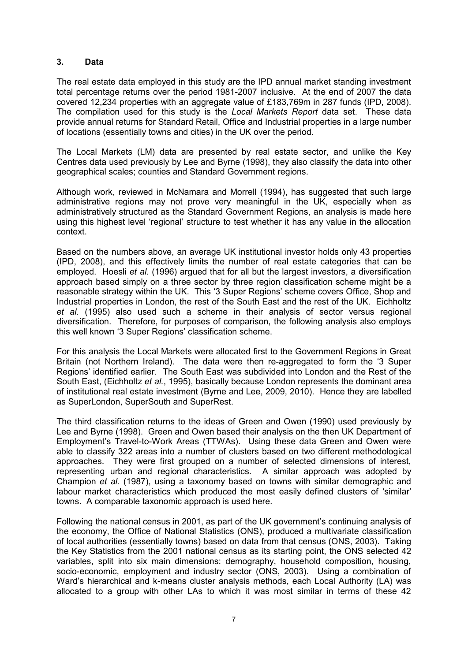#### **3. Data**

The real estate data employed in this study are the IPD annual market standing investment total percentage returns over the period 1981-2007 inclusive. At the end of 2007 the data covered 12,234 properties with an aggregate value of £183,769m in 287 funds (IPD, 2008). The compilation used for this study is the *Local Markets Report* data set. These data provide annual returns for Standard Retail, Office and Industrial properties in a large number of locations (essentially towns and cities) in the UK over the period.

The Local Markets (LM) data are presented by real estate sector, and unlike the Key Centres data used previously by Lee and Byrne (1998), they also classify the data into other geographical scales; counties and Standard Government regions.

Although work, reviewed in McNamara and Morrell (1994), has suggested that such large administrative regions may not prove very meaningful in the UK, especially when as administratively structured as the Standard Government Regions, an analysis is made here using this highest level "regional" structure to test whether it has any value in the allocation context.

Based on the numbers above, an average UK institutional investor holds only 43 properties (IPD, 2008), and this effectively limits the number of real estate categories that can be employed. Hoesli *et al.* (1996) argued that for all but the largest investors, a diversification approach based simply on a three sector by three region classification scheme might be a reasonable strategy within the UK. This '3 Super Regions' scheme covers Office, Shop and Industrial properties in London, the rest of the South East and the rest of the UK. Eichholtz *et al.* (1995) also used such a scheme in their analysis of sector versus regional diversification. Therefore, for purposes of comparison, the following analysis also employs this well known "3 Super Regions" classification scheme.

For this analysis the Local Markets were allocated first to the Government Regions in Great Britain (not Northern Ireland). The data were then re-aggregated to form the "3 Super Regions" identified earlier. The South East was subdivided into London and the Rest of the South East, (Eichholtz *et al.*, 1995), basically because London represents the dominant area of institutional real estate investment (Byrne and Lee, 2009, 2010). Hence they are labelled as SuperLondon, SuperSouth and SuperRest.

The third classification returns to the ideas of Green and Owen (1990) used previously by Lee and Byrne (1998). Green and Owen based their analysis on the then UK Department of Employment"s Travel-to-Work Areas (TTWAs). Using these data Green and Owen were able to classify 322 areas into a number of clusters based on two different methodological approaches. They were first grouped on a number of selected dimensions of interest, representing urban and regional characteristics. A similar approach was adopted by Champion *et al.* (1987), using a taxonomy based on towns with similar demographic and labour market characteristics which produced the most easily defined clusters of 'similar' towns. A comparable taxonomic approach is used here.

Following the national census in 2001, as part of the UK government's continuing analysis of the economy, the Office of National Statistics (ONS), produced a multivariate classification of local authorities (essentially towns) based on data from that census (ONS, 2003). Taking the Key Statistics from the 2001 national census as its starting point, the ONS selected 42 variables, split into six main dimensions: demography, household composition, housing, socio-economic, employment and industry sector (ONS, 2003). Using a combination of Ward"s hierarchical and k-means cluster analysis methods, each Local Authority (LA) was allocated to a group with other LAs to which it was most similar in terms of these 42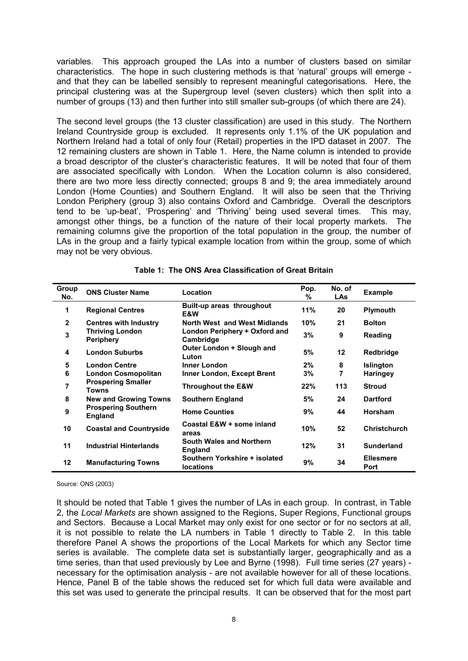variables. This approach grouped the LAs into a number of clusters based on similar characteristics. The hope in such clustering methods is that "natural" groups will emerge and that they can be labelled sensibly to represent meaningful categorisations. Here, the principal clustering was at the Supergroup level (seven clusters) which then split into a number of groups (13) and then further into still smaller sub-groups (of which there are 24).

The second level groups (the 13 cluster classification) are used in this study. The Northern Ireland Countryside group is excluded. It represents only 1.1% of the UK population and Northern Ireland had a total of only four (Retail) properties in the IPD dataset in 2007. The 12 remaining clusters are shown in Table 1. Here, the Name column is intended to provide a broad descriptor of the cluster"s characteristic features. It will be noted that four of them are associated specifically with London. When the Location column is also considered, there are two more less directly connected; groups 8 and 9; the area immediately around London (Home Counties) and Southern England. It will also be seen that the Thriving London Periphery (group 3) also contains Oxford and Cambridge. Overall the descriptors tend to be "up-beat", "Prospering" and "Thriving" being used several times. This may, amongst other things, be a function of the nature of their local property markets. The remaining columns give the proportion of the total population in the group, the number of LAs in the group and a fairly typical example location from within the group, some of which may not be very obvious.

| Group<br>No. | <b>ONS Cluster Name</b>                    | Location                                          | Pop.<br>% | No. of<br><b>LAs</b> | <b>Example</b>           |
|--------------|--------------------------------------------|---------------------------------------------------|-----------|----------------------|--------------------------|
| 1            | <b>Regional Centres</b>                    | Built-up areas throughout<br>E&W                  | 11%       | 20                   | <b>Plymouth</b>          |
| $\mathbf{2}$ | <b>Centres with Industry</b>               | North West and West Midlands                      | 10%       | 21                   | <b>Bolton</b>            |
| 3            | <b>Thriving London</b><br><b>Periphery</b> | London Periphery + Oxford and<br>Cambridge        | 3%        | 9                    | Reading                  |
| 4            | <b>London Suburbs</b>                      | Outer London + Slough and<br>Luton                | 5%        | $12 \,$              | Redbridge                |
| 5            | <b>London Centre</b>                       | <b>Inner London</b>                               | 2%        | 8                    | <b>Islington</b>         |
| 6            | <b>London Cosmopolitan</b>                 | Inner London, Except Brent                        | 3%        | 7                    | <b>Haringey</b>          |
| 7            | <b>Prospering Smaller</b><br><b>Towns</b>  | <b>Throughout the E&amp;W</b>                     | 22%       | 113                  | <b>Stroud</b>            |
| 8            | <b>New and Growing Towns</b>               | <b>Southern England</b>                           | 5%        | 24                   | <b>Dartford</b>          |
| 9            | <b>Prospering Southern</b><br>England      | <b>Home Counties</b>                              | 9%        | 44                   | <b>Horsham</b>           |
| 10           | <b>Coastal and Countryside</b>             | Coastal E&W + some inland<br>areas                | 10%       | 52                   | <b>Christchurch</b>      |
| 11           | <b>Industrial Hinterlands</b>              | South Wales and Northern<br><b>England</b>        | 12%       | 31                   | <b>Sunderland</b>        |
| 12           | <b>Manufacturing Towns</b>                 | Southern Yorkshire + isolated<br><b>locations</b> | 9%        | 34                   | <b>Ellesmere</b><br>Port |

|  |  |  |  | Table 1: The ONS Area Classification of Great Britain |  |  |
|--|--|--|--|-------------------------------------------------------|--|--|
|--|--|--|--|-------------------------------------------------------|--|--|

Source: ONS (2003)

It should be noted that Table 1 gives the number of LAs in each group. In contrast, in Table 2, the *Local Markets* are shown assigned to the Regions, Super Regions, Functional groups and Sectors. Because a Local Market may only exist for one sector or for no sectors at all, it is not possible to relate the LA numbers in Table 1 directly to Table 2. In this table therefore Panel A shows the proportions of the Local Markets for which any Sector time series is available. The complete data set is substantially larger, geographically and as a time series, than that used previously by Lee and Byrne (1998). Full time series (27 years) necessary for the optimisation analysis - are not available however for all of these locations. Hence, Panel B of the table shows the reduced set for which full data were available and this set was used to generate the principal results. It can be observed that for the most part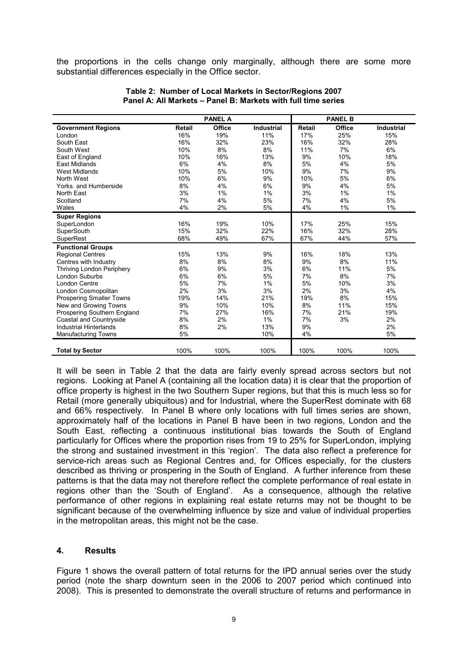the proportions in the cells change only marginally, although there are some more substantial differences especially in the Office sector.

|                                  |        | <b>PANEL A</b> |                   |               | <b>PANEL B</b> |                   |
|----------------------------------|--------|----------------|-------------------|---------------|----------------|-------------------|
| <b>Government Regions</b>        | Retail | Office         | <b>Industrial</b> | <b>Retail</b> | Office         | <b>Industrial</b> |
| London                           | 16%    | 19%            | 11%               | 17%           | 25%            | 15%               |
| South East                       | 16%    | 32%            | 23%               | 16%           | 32%            | 28%               |
| South West                       | 10%    | 8%             | 8%                | 11%           | 7%             | 6%                |
| East of England                  | 10%    | 16%            | 13%               | 9%            | 10%            | 18%               |
| <b>East Midlands</b>             | 6%     | 4%             | 8%                | 5%            | 4%             | 5%                |
| <b>West Midlands</b>             | 10%    | 5%             | 10%               | 9%            | 7%             | 9%                |
| North West                       | 10%    | 6%             | 9%                | 10%           | 5%             | 6%                |
| Yorks. and Humberside            | 8%     | 4%             | 6%                | 9%            | 4%             | 5%                |
| North East                       | 3%     | 1%             | 1%                | 3%            | 1%             | 1%                |
| Scotland                         | 7%     | 4%             | 5%                | 7%            | 4%             | 5%                |
| Wales                            | 4%     | 2%             | 5%                | 4%            | 1%             | 1%                |
| <b>Super Regions</b>             |        |                |                   |               |                |                   |
| SuperLondon                      | 16%    | 19%            | 10%               | 17%           | 25%            | 15%               |
| SuperSouth                       | 15%    | 32%            | 22%               | 16%           | 32%            | 28%               |
| SuperRest                        | 68%    | 49%            | 67%               | 67%           | 44%            | 57%               |
| <b>Functional Groups</b>         |        |                |                   |               |                |                   |
| <b>Regional Centres</b>          | 15%    | 13%            | 9%                | 16%           | 18%            | 13%               |
| Centres with Industry            | 8%     | 8%             | 8%                | 9%            | 8%             | 11%               |
| <b>Thriving London Periphery</b> | 6%     | 9%             | 3%                | 6%            | 11%            | 5%                |
| <b>London Suburbs</b>            | 6%     | 6%             | 5%                | 7%            | 8%             | 7%                |
| London Centre                    | 5%     | 7%             | 1%                | 5%            | 10%            | 3%                |
| London Cosmopolitan              | 2%     | 3%             | 3%                | 2%            | 3%             | 4%                |
| <b>Prospering Smaller Towns</b>  | 19%    | 14%            | 21%               | 19%           | 8%             | 15%               |
| New and Growing Towns            | 9%     | 10%            | 10%               | 8%            | 11%            | 15%               |
| Prospering Southern England      | 7%     | 27%            | 16%               | 7%            | 21%            | 19%               |
| Coastal and Countryside          | 8%     | 2%             | 1%                | 7%            | 3%             | 2%                |
| <b>Industrial Hinterlands</b>    | 8%     | 2%             | 13%               | 9%            |                | 2%                |
| <b>Manufacturing Towns</b>       | 5%     |                | 10%               | 4%            |                | 5%                |
|                                  |        |                |                   |               |                |                   |
| <b>Total by Sector</b>           | 100%   | 100%           | 100%              | 100%          | 100%           | 100%              |

#### **Table 2: Number of Local Markets in Sector/Regions 2007 Panel A: All Markets – Panel B: Markets with full time series**

It will be seen in Table 2 that the data are fairly evenly spread across sectors but not regions. Looking at Panel A (containing all the location data) it is clear that the proportion of office property is highest in the two Southern Super regions, but that this is much less so for Retail (more generally ubiquitous) and for Industrial, where the SuperRest dominate with 68 and 66% respectively. In Panel B where only locations with full times series are shown, approximately half of the locations in Panel B have been in two regions, London and the South East, reflecting a continuous institutional bias towards the South of England particularly for Offices where the proportion rises from 19 to 25% for SuperLondon, implying the strong and sustained investment in this "region". The data also reflect a preference for service-rich areas such as Regional Centres and, for Offices especially, for the clusters described as thriving or prospering in the South of England. A further inference from these patterns is that the data may not therefore reflect the complete performance of real estate in regions other than the "South of England". As a consequence, although the relative performance of other regions in explaining real estate returns may not be thought to be significant because of the overwhelming influence by size and value of individual properties in the metropolitan areas, this might not be the case.

#### **4. Results**

Figure 1 shows the overall pattern of total returns for the IPD annual series over the study period (note the sharp downturn seen in the 2006 to 2007 period which continued into 2008). This is presented to demonstrate the overall structure of returns and performance in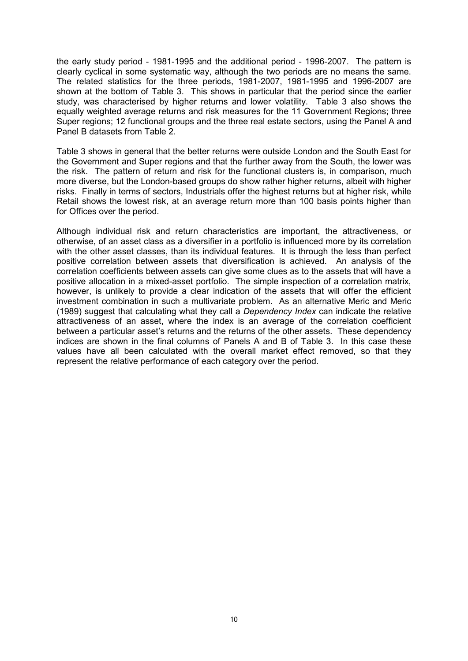the early study period - 1981-1995 and the additional period - 1996-2007. The pattern is clearly cyclical in some systematic way, although the two periods are no means the same. The related statistics for the three periods, 1981-2007, 1981-1995 and 1996-2007 are shown at the bottom of Table 3. This shows in particular that the period since the earlier study, was characterised by higher returns and lower volatility. Table 3 also shows the equally weighted average returns and risk measures for the 11 Government Regions; three Super regions; 12 functional groups and the three real estate sectors, using the Panel A and Panel B datasets from Table 2.

Table 3 shows in general that the better returns were outside London and the South East for the Government and Super regions and that the further away from the South, the lower was the risk. The pattern of return and risk for the functional clusters is, in comparison, much more diverse, but the London-based groups do show rather higher returns, albeit with higher risks. Finally in terms of sectors, Industrials offer the highest returns but at higher risk, while Retail shows the lowest risk, at an average return more than 100 basis points higher than for Offices over the period.

Although individual risk and return characteristics are important, the attractiveness, or otherwise, of an asset class as a diversifier in a portfolio is influenced more by its correlation with the other asset classes, than its individual features. It is through the less than perfect positive correlation between assets that diversification is achieved. An analysis of the correlation coefficients between assets can give some clues as to the assets that will have a positive allocation in a mixed-asset portfolio. The simple inspection of a correlation matrix, however, is unlikely to provide a clear indication of the assets that will offer the efficient investment combination in such a multivariate problem. As an alternative Meric and Meric (1989) suggest that calculating what they call a *Dependency Index* can indicate the relative attractiveness of an asset, where the index is an average of the correlation coefficient between a particular asset's returns and the returns of the other assets. These dependency indices are shown in the final columns of Panels A and B of Table 3. In this case these values have all been calculated with the overall market effect removed, so that they represent the relative performance of each category over the period.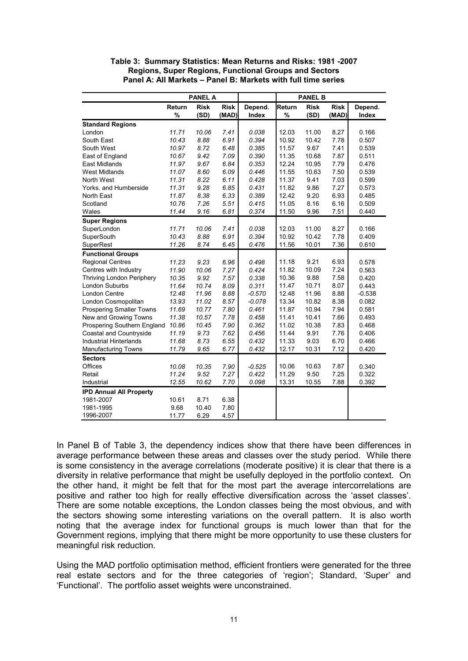|                                 | <b>PANEL A</b> |             |             |          |        | <b>PANEL B</b> |             |          |
|---------------------------------|----------------|-------------|-------------|----------|--------|----------------|-------------|----------|
|                                 | Return         | <b>Risk</b> | <b>Risk</b> | Depend.  | Return | <b>Risk</b>    | <b>Risk</b> | Depend.  |
|                                 | %              | (SD)        | (MAD)       | Index    | %      | (SD)           | (MAD)       | Index    |
| <b>Standard Regions</b>         |                |             |             |          |        |                |             |          |
| London                          | 11.71          | 10.06       | 7.41        | 0.038    | 12.03  | 11.00          | 8.27        | 0.166    |
| South East                      | 10.43          | 8.88        | 6.91        | 0.394    | 10.92  | 10.42          | 7.78        | 0.507    |
| South West                      | 10.97          | 8.72        | 6.48        | 0.385    | 11.57  | 9.67           | 7.41        | 0.539    |
| East of England                 | 10.67          | 9.42        | 7.09        | 0.390    | 11.35  | 10.68          | 7.87        | 0.511    |
| <b>East Midlands</b>            | 11.97          | 9.67        | 6.84        | 0.353    | 12.24  | 10.95          | 7.79        | 0.476    |
| <b>West Midlands</b>            | 11.07          | 8.60        | 6.09        | 0.446    | 11.55  | 10.63          | 7.50        | 0.539    |
| North West                      | 11.31          | 8.22        | 6.11        | 0.428    | 11.37  | 9.41           | 7.03        | 0.599    |
| Yorks. and Humberside           | 11.31          | 9.28        | 6.85        | 0.431    | 11.82  | 9.86           | 7.27        | 0.573    |
| North East                      | 11.87          | 8.38        | 6.33        | 0.389    | 12.42  | 9.20           | 6.93        | 0.485    |
| Scotland                        | 10.76          | 7.26        | 5.51        | 0.415    | 11.05  | 8.16           | 6.16        | 0.509    |
| Wales                           | 11.44          | 9.16        | 6.81        | 0.374    | 11.50  | 9.96           | 7.51        | 0.440    |
| <b>Super Regions</b>            |                |             |             |          |        |                |             |          |
| SuperLondon                     | 11.71          | 10.06       | 7.41        | 0.038    | 12.03  | 11.00          | 8.27        | 0.166    |
| SuperSouth                      | 10.43          | 8.88        | 6.91        | 0.394    | 10.92  | 10.42          | 7.78        | 0.409    |
| SuperRest                       | 11.26          | 8.74        | 6.45        | 0.476    | 11.56  | 10.01          | 7.36        | 0.610    |
| <b>Functional Groups</b>        |                |             |             |          |        |                |             |          |
| <b>Regional Centres</b>         | 11.23          | 9.23        | 6.96        | 0.498    | 11.18  | 9.21           | 6.93        | 0.578    |
| Centres with Industry           | 11.90          | 10.06       | 7.27        | 0.424    | 11.82  | 10.09          | 7.24        | 0.563    |
| Thriving London Periphery       | 10.35          | 9.92        | 7.57        | 0.338    | 10.36  | 9.88           | 7.58        | 0.420    |
| <b>London Suburbs</b>           | 11.64          | 10.74       | 8.09        | 0.311    | 11.47  | 10.71          | 8.07        | 0.443    |
| <b>London Centre</b>            | 12.48          | 11.96       | 8.88        | $-0.570$ | 12.48  | 11.96          | 8.88        | $-0.538$ |
| London Cosmopolitan             | 13.93          | 11.02       | 8.57        | $-0.078$ | 13.34  | 10.82          | 8.38        | 0.082    |
| <b>Prospering Smaller Towns</b> | 11.69          | 10.77       | 7.80        | 0.461    | 11.87  | 10.94          | 7.94        | 0.581    |
| New and Growing Towns           | 11.38          | 10.57       | 7.78        | 0.458    | 11.41  | 10.41          | 7.66        | 0.493    |
| Prospering Southern England     | 10.86          | 10.45       | 7.90        | 0.362    | 11.02  | 10.38          | 7.83        | 0.468    |
| Coastal and Countryside         | 11.19          | 9.73        | 7.62        | 0.456    | 11.44  | 9.91           | 7.76        | 0.406    |
| <b>Industrial Hinterlands</b>   | 11.68          | 8.73        | 6.55        | 0.432    | 11.33  | 9.03           | 6.70        | 0.466    |
| Manufacturing Towns             | 11.79          | 9.65        | 6.77        | 0.432    | 12.17  | 10.31          | 7.12        | 0.420    |
| <b>Sectors</b>                  |                |             |             |          |        |                |             |          |
| Offices                         | 10.08          | 10.35       | 7.90        | $-0.525$ | 10.06  | 10.63          | 7.87        | 0.340    |
| Retail                          | 11.24          | 9.52        | 7.27        | 0.422    | 11.29  | 9.50           | 7.25        | 0.322    |
| Industrial                      | 12.55          | 10.62       | 7.70        | 0.098    | 13.31  | 10.55          | 7.88        | 0.392    |
| <b>IPD Annual All Property</b>  |                |             |             |          |        |                |             |          |
| 1981-2007                       | 10.61          | 8.71        | 6.38        |          |        |                |             |          |
| 1981-1995                       | 9.68           | 10.40       | 7.80        |          |        |                |             |          |
| 1996-2007                       | 11.77          | 6.29        | 4.57        |          |        |                |             |          |

**Table 3: Summary Statistics: Mean Returns and Risks: 1981 -2007 Regions, Super Regions, Functional Groups and Sectors Panel A: All Markets – Panel B: Markets with full time series**

In Panel B of Table 3, the dependency indices show that there have been differences in average performance between these areas and classes over the study period. While there is some consistency in the average correlations (moderate positive) it is clear that there is a diversity in relative performance that might be usefully deployed in the portfolio context. On the other hand, it might be felt that for the most part the average intercorrelations are positive and rather too high for really effective diversification across the "asset classes". There are some notable exceptions, the London classes being the most obvious, and with the sectors showing some interesting variations on the overall pattern. It is also worth noting that the average index for functional groups is much lower than that for the Government regions, implying that there might be more opportunity to use these clusters for meaningful risk reduction.

Using the MAD portfolio optimisation method, efficient frontiers were generated for the three real estate sectors and for the three categories of "region"; Standard, "Super" and "Functional". The portfolio asset weights were unconstrained.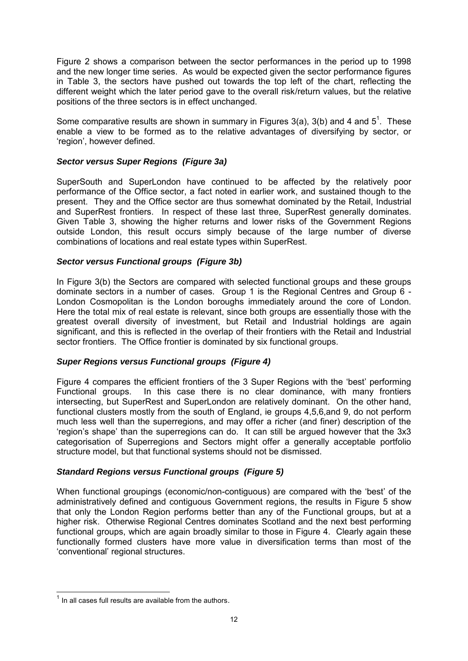Figure 2 shows a comparison between the sector performances in the period up to 1998 and the new longer time series. As would be expected given the sector performance figures in Table 3, the sectors have pushed out towards the top left of the chart, reflecting the different weight which the later period gave to the overall risk/return values, but the relative positions of the three sectors is in effect unchanged.

Some comparative results are shown in summary in Figures 3(a), 3(b) and 4 and  $5^1$ . These enable a view to be formed as to the relative advantages of diversifying by sector, or 'region', however defined.

#### *Sector versus Super Regions (Figure 3a)*

SuperSouth and SuperLondon have continued to be affected by the relatively poor performance of the Office sector, a fact noted in earlier work, and sustained though to the present. They and the Office sector are thus somewhat dominated by the Retail, Industrial and SuperRest frontiers. In respect of these last three, SuperRest generally dominates. Given Table 3, showing the higher returns and lower risks of the Government Regions outside London, this result occurs simply because of the large number of diverse combinations of locations and real estate types within SuperRest.

#### *Sector versus Functional groups (Figure 3b)*

In Figure 3(b) the Sectors are compared with selected functional groups and these groups dominate sectors in a number of cases. Group 1 is the Regional Centres and Group 6 - London Cosmopolitan is the London boroughs immediately around the core of London. Here the total mix of real estate is relevant, since both groups are essentially those with the greatest overall diversity of investment, but Retail and Industrial holdings are again significant, and this is reflected in the overlap of their frontiers with the Retail and Industrial sector frontiers. The Office frontier is dominated by six functional groups.

#### *Super Regions versus Functional groups (Figure 4)*

Figure 4 compares the efficient frontiers of the 3 Super Regions with the "best" performing Functional groups. In this case there is no clear dominance, with many frontiers intersecting, but SuperRest and SuperLondon are relatively dominant. On the other hand, functional clusters mostly from the south of England, ie groups 4,5,6,and 9, do not perform much less well than the superregions, and may offer a richer (and finer) description of the "region"s shape" than the superregions can do. It can still be argued however that the 3x3 categorisation of Superregions and Sectors might offer a generally acceptable portfolio structure model, but that functional systems should not be dismissed.

#### *Standard Regions versus Functional groups (Figure 5)*

When functional groupings (economic/non-contiguous) are compared with the "best" of the administratively defined and contiguous Government regions, the results in Figure 5 show that only the London Region performs better than any of the Functional groups, but at a higher risk. Otherwise Regional Centres dominates Scotland and the next best performing functional groups, which are again broadly similar to those in Figure 4. Clearly again these functionally formed clusters have more value in diversification terms than most of the "conventional" regional structures.

 $\overline{a}$ 

 $<sup>1</sup>$  In all cases full results are available from the authors.</sup>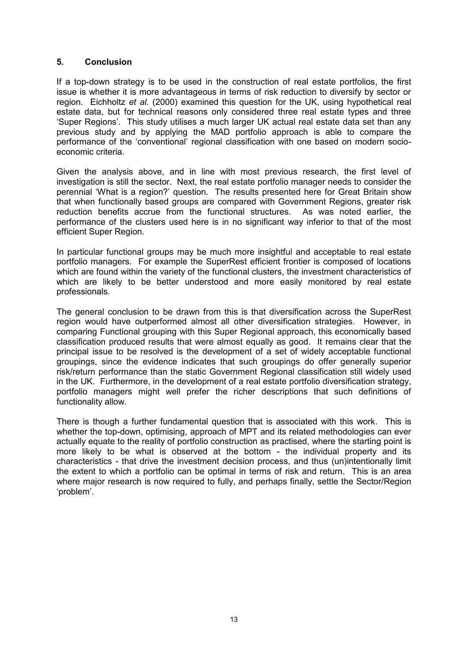#### **5. Conclusion**

If a top-down strategy is to be used in the construction of real estate portfolios, the first issue is whether it is more advantageous in terms of risk reduction to diversify by sector or region. Eichholtz *et al.* (2000) examined this question for the UK, using hypothetical real estate data, but for technical reasons only considered three real estate types and three "Super Regions". This study utilises a much larger UK actual real estate data set than any previous study and by applying the MAD portfolio approach is able to compare the performance of the "conventional" regional classification with one based on modern socioeconomic criteria.

Given the analysis above, and in line with most previous research, the first level of investigation is still the sector. Next, the real estate portfolio manager needs to consider the perennial "What is a region?" question. The results presented here for Great Britain show that when functionally based groups are compared with Government Regions, greater risk reduction benefits accrue from the functional structures. As was noted earlier, the performance of the clusters used here is in no significant way inferior to that of the most efficient Super Region.

In particular functional groups may be much more insightful and acceptable to real estate portfolio managers. For example the SuperRest efficient frontier is composed of locations which are found within the variety of the functional clusters, the investment characteristics of which are likely to be better understood and more easily monitored by real estate professionals.

The general conclusion to be drawn from this is that diversification across the SuperRest region would have outperformed almost all other diversification strategies. However, in comparing Functional grouping with this Super Regional approach, this economically based classification produced results that were almost equally as good. It remains clear that the principal issue to be resolved is the development of a set of widely acceptable functional groupings, since the evidence indicates that such groupings do offer generally superior risk/return performance than the static Government Regional classification still widely used in the UK. Furthermore, in the development of a real estate portfolio diversification strategy, portfolio managers might well prefer the richer descriptions that such definitions of functionality allow.

There is though a further fundamental question that is associated with this work. This is whether the top-down, optimising, approach of MPT and its related methodologies can ever actually equate to the reality of portfolio construction as practised, where the starting point is more likely to be what is observed at the bottom - the individual property and its characteristics - that drive the investment decision process, and thus (un)intentionally limit the extent to which a portfolio can be optimal in terms of risk and return. This is an area where major research is now required to fully, and perhaps finally, settle the Sector/Region "problem".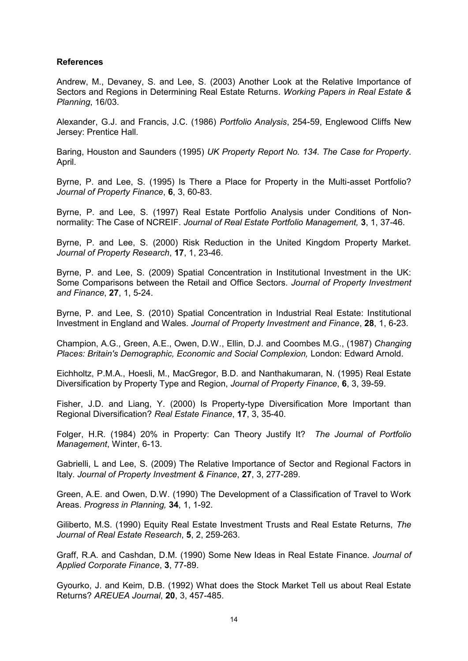#### **References**

Andrew, M., Devaney, S. and Lee, S. (2003) Another Look at the Relative Importance of Sectors and Regions in Determining Real Estate Returns. *Working Papers in Real Estate & Planning*, 16/03.

Alexander, G.J. and Francis, J.C. (1986) *Portfolio Analysis*, 254-59, Englewood Cliffs New Jersey: Prentice Hall.

Baring, Houston and Saunders (1995) *UK Property Report No. 134. The Case for Property*. April.

Byrne, P. and Lee, S. (1995) Is There a Place for Property in the Multi-asset Portfolio? *Journal of Property Finance*, **6**, 3, 60-83.

Byrne, P. and Lee, S. (1997) Real Estate Portfolio Analysis under Conditions of Nonnormality: The Case of NCREIF. *Journal of Real Estate Portfolio Management,* **3**, 1, 37-46.

Byrne, P. and Lee, S. (2000) Risk Reduction in the United Kingdom Property Market. *Journal of Property Research*, **17**, 1, 23-46.

Byrne, P. and Lee, S. (2009) Spatial Concentration in Institutional Investment in the UK: Some Comparisons between the Retail and Office Sectors. *Journal of Property Investment and Finance*, **27**, 1, 5-24.

Byrne, P. and Lee, S. (2010) Spatial Concentration in Industrial Real Estate: Institutional Investment in England and Wales. *Journal of Property Investment and Finance*, **28**, 1, 6-23.

Champion, A.G., Green, A.E., Owen, D.W., Ellin, D.J. and Coombes M.G., (1987) *Changing Places: Britain's Demographic, Economic and Social Complexion, London: Edward Arnold.* 

Eichholtz, P.M.A., Hoesli, M., MacGregor, B.D. and Nanthakumaran, N. (1995) Real Estate Diversification by Property Type and Region, *Journal of Property Finance*, **6**, 3, 39-59.

Fisher, J.D. and Liang, Y. (2000) Is Property-type Diversification More Important than Regional Diversification? *Real Estate Finance*, **17**, 3, 35-40.

Folger, H.R. (1984) 20% in Property: Can Theory Justify It? *The Journal of Portfolio Management*, Winter, 6-13.

Gabrielli, L and Lee, S. (2009) The Relative Importance of Sector and Regional Factors in Italy. *Journal of Property Investment & Finance*, **27**, 3, 277-289.

Green, A.E. and Owen, D.W. (1990) The Development of a Classification of Travel to Work Areas. *Progress in Planning,* **34**, 1, 1-92.

Giliberto, M.S. (1990) Equity Real Estate Investment Trusts and Real Estate Returns, *The Journal of Real Estate Research*, **5**, 2, 259-263.

Graff, R.A. and Cashdan, D.M. (1990) Some New Ideas in Real Estate Finance. *Journal of Applied Corporate Finance*, **3**, 77-89.

Gyourko, J. and Keim, D.B. (1992) What does the Stock Market Tell us about Real Estate Returns? *AREUEA Journal*, **20**, 3, 457-485.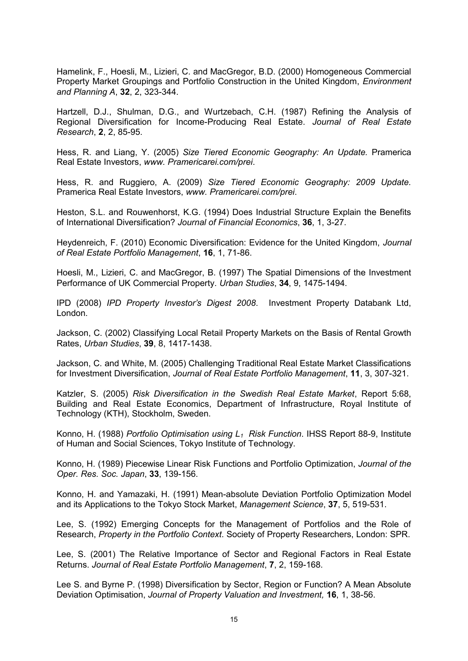Hamelink, F., Hoesli, M., Lizieri, C. and MacGregor, B.D. (2000) Homogeneous Commercial Property Market Groupings and Portfolio Construction in the United Kingdom, *Environment and Planning A*, **32**, 2, 323-344.

Hartzell, D.J., Shulman, D.G., and Wurtzebach, C.H. (1987) Refining the Analysis of Regional Diversification for Income-Producing Real Estate. *Journal of Real Estate Research*, **2**, 2, 85-95.

Hess, R. and Liang, Y. (2005) *Size Tiered Economic Geography: An Update.* Pramerica Real Estate Investors, *www. Pramericarei.com/prei*.

Hess, R. and Ruggiero, A. (2009) *Size Tiered Economic Geography: 2009 Update.* Pramerica Real Estate Investors, *www. Pramericarei.com/prei*.

Heston, S.L. and Rouwenhorst, K.G. (1994) Does Industrial Structure Explain the Benefits of International Diversification? *Journal of Financial Economics*, **36**, 1, 3-27.

Heydenreich, F. (2010) Economic Diversification: Evidence for the United Kingdom, *Journal of Real Estate Portfolio Management*, **16**, 1, 71-86.

Hoesli, M., Lizieri, C. and MacGregor, B. (1997) The Spatial Dimensions of the Investment Performance of UK Commercial Property. *Urban Studies*, **34**, 9, 1475-1494.

IPD (2008) *IPD Property Investor's Digest 2008*. Investment Property Databank Ltd, London.

Jackson, C. (2002) Classifying Local Retail Property Markets on the Basis of Rental Growth Rates, *Urban Studies*, **39**, 8, 1417-1438.

Jackson, C. and White, M. (2005) Challenging Traditional Real Estate Market Classifications for Investment Diversification, *Journal of Real Estate Portfolio Management*, **11**, 3, 307-321.

Katzler, S. (2005) *Risk Diversification in the Swedish Real Estate Market*, Report 5:68, Building and Real Estate Economics, Department of Infrastructure, Royal Institute of Technology (KTH), Stockholm, Sweden.

Konno, H. (1988) *Portfolio Optimisation using L1 Risk Function*. IHSS Report 88-9, Institute of Human and Social Sciences, Tokyo Institute of Technology.

Konno, H. (1989) Piecewise Linear Risk Functions and Portfolio Optimization, *Journal of the Oper. Res. Soc. Japan*, **33**, 139-156.

Konno, H. and Yamazaki, H. (1991) Mean-absolute Deviation Portfolio Optimization Model and its Applications to the Tokyo Stock Market, *Management Science*, **37**, 5, 519-531.

Lee, S. (1992) Emerging Concepts for the Management of Portfolios and the Role of Research, *Property in the Portfolio Context*. Society of Property Researchers, London: SPR.

Lee, S. (2001) The Relative Importance of Sector and Regional Factors in Real Estate Returns. *Journal of Real Estate Portfolio Management*, **7**, 2, 159-168.

Lee S. and Byrne P. (1998) Diversification by Sector, Region or Function? A Mean Absolute Deviation Optimisation, *Journal of Property Valuation and Investment,* **16**, 1, 38-56.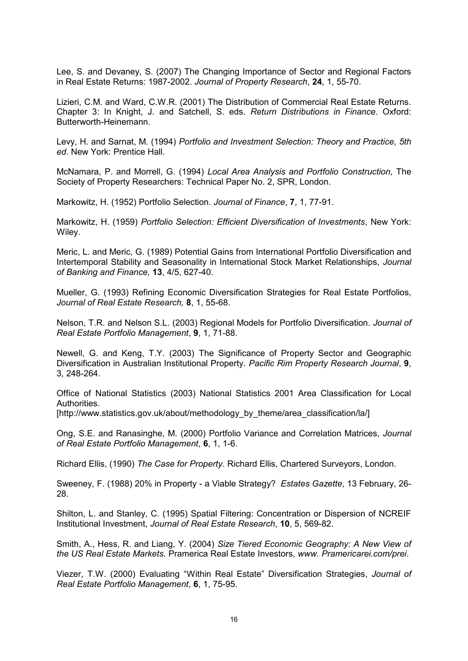Lee, S. and Devaney, S. (2007) The Changing Importance of Sector and Regional Factors in Real Estate Returns: 1987-2002. *Journal of Property Research*, **24**, 1, 55-70.

Lizieri, C.M. and Ward, C.W.R. (2001) The Distribution of Commercial Real Estate Returns. Chapter 3: In Knight, J. and Satchell, S. eds. *Return Distributions in Finance*. Oxford: Butterworth-Heinemann.

Levy, H. and Sarnat, M. (1994) *Portfolio and Investment Selection: Theory and Practice, 5th ed*. New York: Prentice Hall.

McNamara, P. and Morrell, G. (1994) *Local Area Analysis and Portfolio Construction,* The Society of Property Researchers: Technical Paper No. 2, SPR, London.

Markowitz, H. (1952) Portfolio Selection. *Journal of Finance*, **7**, 1, 77-91.

Markowitz, H. (1959) *Portfolio Selection: Efficient Diversification of Investments*, New York: Wiley.

Meric, L. and Meric, G. (1989) Potential Gains from International Portfolio Diversification and Intertemporal Stability and Seasonality in International Stock Market Relationships, *Journal of Banking and Finance,* **13**, 4/5, 627-40.

Mueller, G. (1993) Refining Economic Diversification Strategies for Real Estate Portfolios, *Journal of Real Estate Research,* **8**, 1, 55-68.

Nelson, T.R. and Nelson S.L. (2003) Regional Models for Portfolio Diversification. *Journal of Real Estate Portfolio Management*, **9**, 1, 71-88.

Newell, G. and Keng, T.Y. (2003) The Significance of Property Sector and Geographic Diversification in Australian Institutional Property. *Pacific Rim Property Research Journal*, **9**, 3, 248-264.

Office of National Statistics (2003) National Statistics 2001 Area Classification for Local Authorities.

[http://www.statistics.gov.uk/about/methodology\_by\_theme/area\_classification/la/]

Ong, S.E. and Ranasinghe, M. (2000) Portfolio Variance and Correlation Matrices, *Journal of Real Estate Portfolio Management*, **6**, 1, 1-6.

Richard Ellis, (1990) *The Case for Property.* Richard Ellis, Chartered Surveyors, London.

Sweeney, F. (1988) 20% in Property - a Viable Strategy? *Estates Gazette*, 13 February, 26- 28.

Shilton, L. and Stanley, C. (1995) Spatial Filtering: Concentration or Dispersion of NCREIF Institutional Investment, *Journal of Real Estate Research*, **10**, 5, 569-82.

Smith, A., Hess, R. and Liang, Y. (2004) *Size Tiered Economic Geography: A New View of the US Real Estate Markets.* Pramerica Real Estate Investors, *www. Pramericarei.com/prei*.

Viezer, T.W. (2000) Evaluating "Within Real Estate" Diversification Strategies, *Journal of Real Estate Portfolio Management*, **6**, 1, 75-95.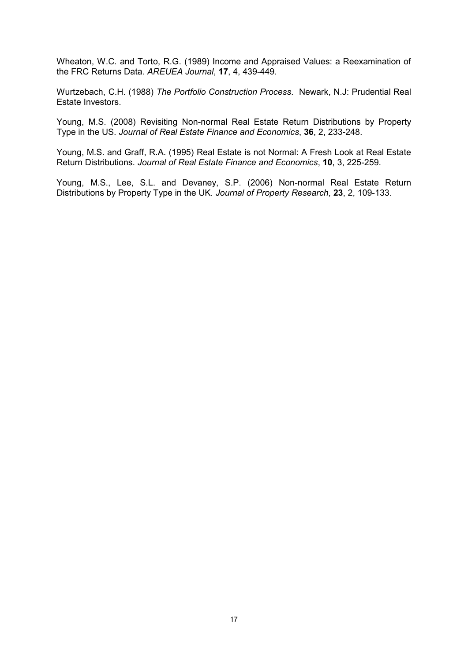Wheaton, W.C. and Torto, R.G. (1989) Income and Appraised Values: a Reexamination of the FRC Returns Data. *AREUEA Journal*, **17**, 4, 439-449.

Wurtzebach, C.H. (1988) *The Portfolio Construction Process*. Newark, N.J: Prudential Real Estate Investors.

Young, M.S. (2008) Revisiting Non-normal Real Estate Return Distributions by Property Type in the US. *Journal of Real Estate Finance and Economics*, **36**, 2, 233-248.

Young, M.S. and Graff, R.A. (1995) Real Estate is not Normal: A Fresh Look at Real Estate Return Distributions. *Journal of Real Estate Finance and Economics*, **10**, 3, 225-259.

Young, M.S., Lee, S.L. and Devaney, S.P. (2006) Non-normal Real Estate Return Distributions by Property Type in the UK. *Journal of Property Research*, **23**, 2, 109-133.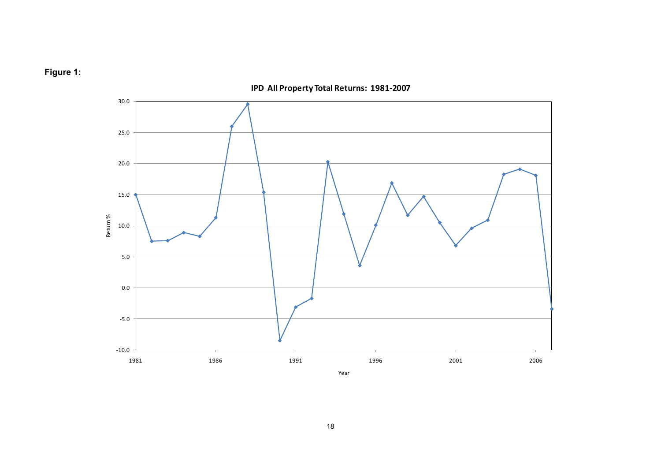



**IPD All Property Total Returns: 1981-2007**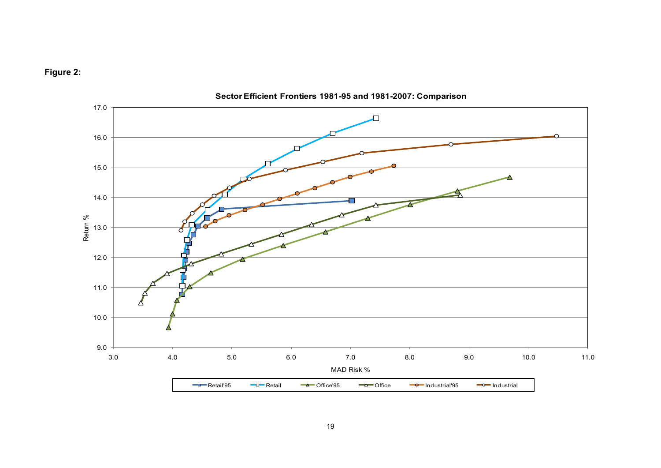



**Sector Efficient Frontiers 1981-95 and 1981-2007: Comparison**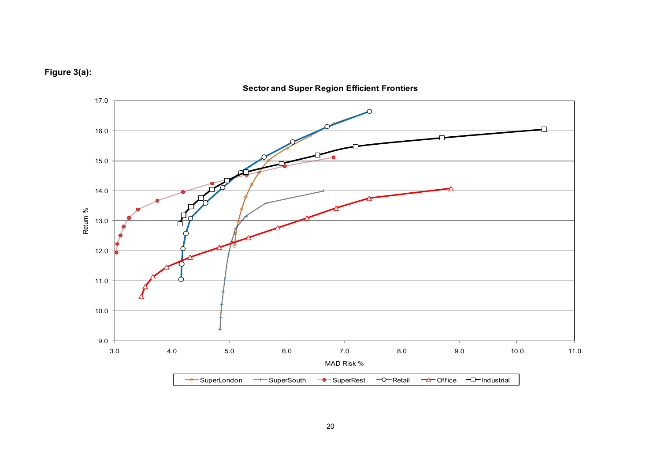



**Sector and Super Region Efficient Frontiers**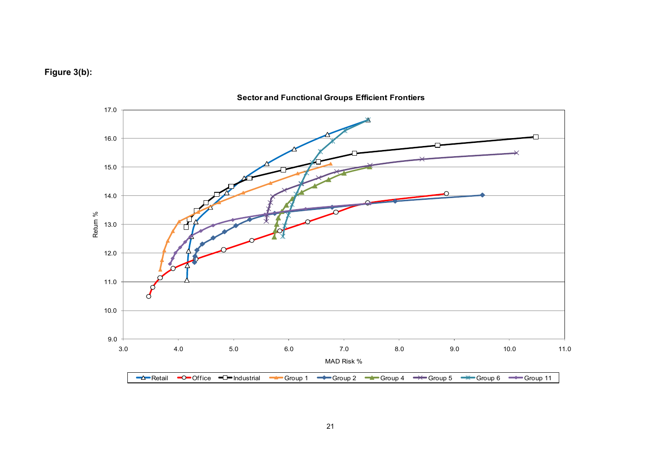



**Sector and Functional Groups Efficient Frontiers**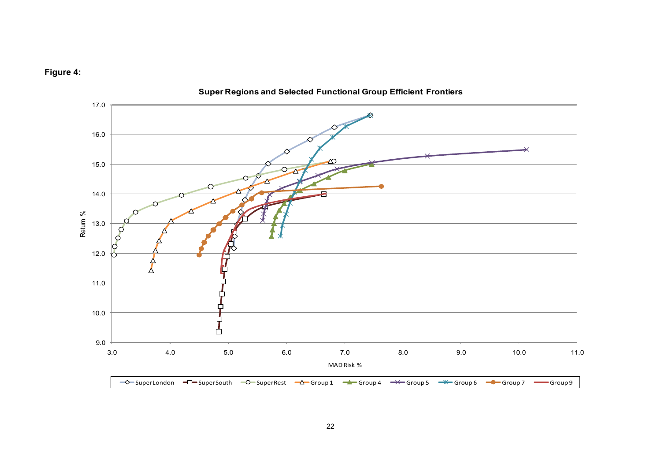



**Super Regions and Selected Functional Group Efficient Frontiers**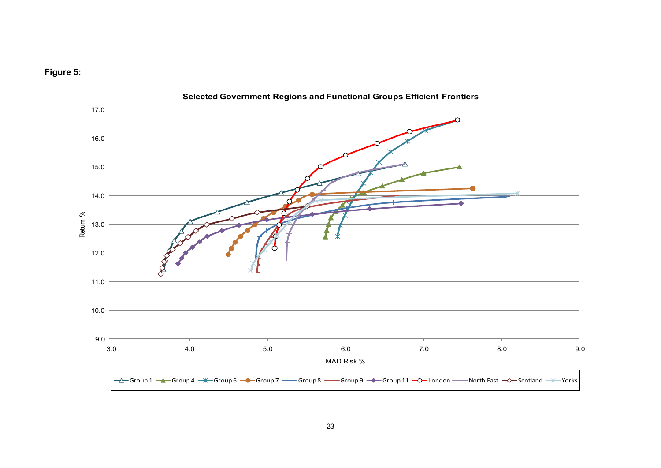



**Selected Government Regions and Functional Groups Efficient Frontiers**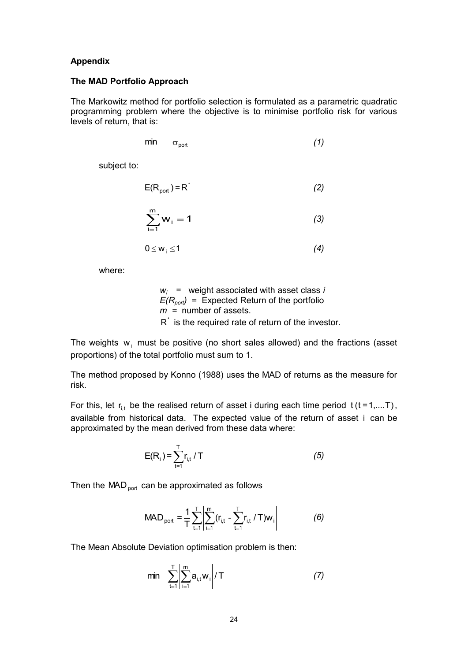#### **Appendix**

#### **The MAD Portfolio Approach**

The Markowitz method for portfolio selection is formulated as a parametric quadratic programming problem where the objective is to minimise portfolio risk for various levels of return, that is:

$$
\min \quad \sigma_{\text{port}} \tag{1}
$$

subject to:

$$
E(R_{pot}) = R^*
$$
 (2)

$$
\sum_{i=1}^{m} w_i = 1 \tag{3}
$$

$$
0 \leq w_i \leq 1 \tag{4}
$$

where:

$$
w_i
$$
 = weight associated with asset class *i*  
 $E(R_{pot})$  = Expected Return of the portfolio  
 $m$  = number of assets.

 $R^*$  is the required rate of return of the investor.

The weights  $w_i$  must be positive (no short sales allowed) and the fractions (asset proportions) of the total portfolio must sum to 1.

The method proposed by Konno (1988) uses the MAD of returns as the measure for risk.

For this, let  $r_{i,t}$  be the realised return of asset i during each time period  $t$  (t=1,....T), available from historical data. The expected value of the return of asset i can be approximated by the mean derived from these data where:

$$
E(R_i) = \sum_{t=1}^{T} r_{i,t} / T
$$
 (5)

Then the MAD  $_{\rm port}$  can be approximated as follows

$$
\text{MAD}_{\text{port}} = \frac{1}{T} \sum_{t=1}^{T} \left| \sum_{i=1}^{m} (r_{i,t} - \sum_{t=1}^{T} r_{i,t} / T) w_i \right| \tag{6}
$$

The Mean Absolute Deviation optimisation problem is then:

$$
\min \sum_{t=1}^{T} \left| \sum_{i=1}^{m} a_{i,t} w_i \right| / T \tag{7}
$$